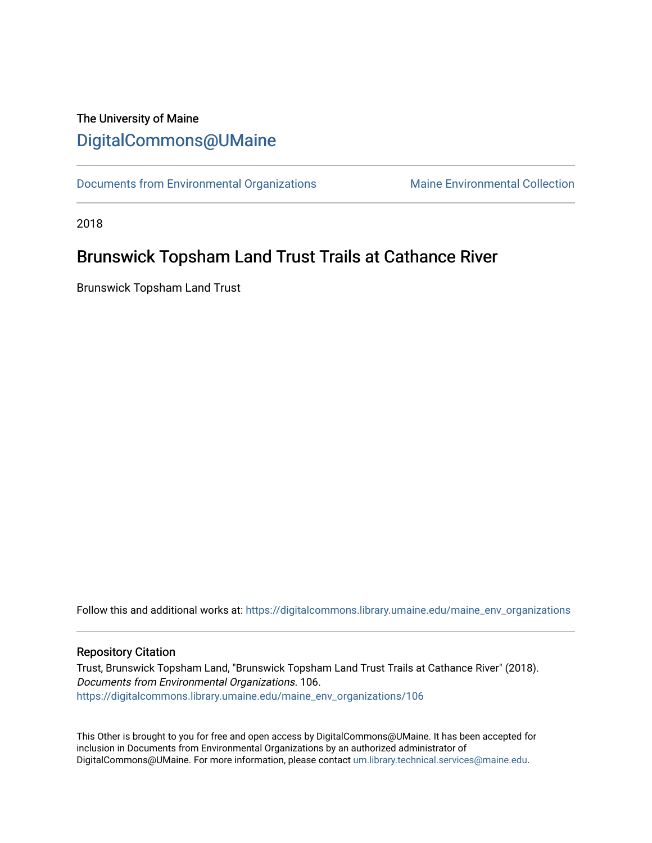## The University of Maine [DigitalCommons@UMaine](https://digitalcommons.library.umaine.edu/)

[Documents from Environmental Organizations](https://digitalcommons.library.umaine.edu/maine_env_organizations) Maine Environmental Collection

2018

## Brunswick Topsham Land Trust Trails at Cathance River

Brunswick Topsham Land Trust

Follow this and additional works at: [https://digitalcommons.library.umaine.edu/maine\\_env\\_organizations](https://digitalcommons.library.umaine.edu/maine_env_organizations?utm_source=digitalcommons.library.umaine.edu%2Fmaine_env_organizations%2F106&utm_medium=PDF&utm_campaign=PDFCoverPages)

## Repository Citation

Trust, Brunswick Topsham Land, "Brunswick Topsham Land Trust Trails at Cathance River" (2018). Documents from Environmental Organizations. 106. [https://digitalcommons.library.umaine.edu/maine\\_env\\_organizations/106](https://digitalcommons.library.umaine.edu/maine_env_organizations/106?utm_source=digitalcommons.library.umaine.edu%2Fmaine_env_organizations%2F106&utm_medium=PDF&utm_campaign=PDFCoverPages)

This Other is brought to you for free and open access by DigitalCommons@UMaine. It has been accepted for inclusion in Documents from Environmental Organizations by an authorized administrator of DigitalCommons@UMaine. For more information, please contact [um.library.technical.services@maine.edu](mailto:um.library.technical.services@maine.edu).